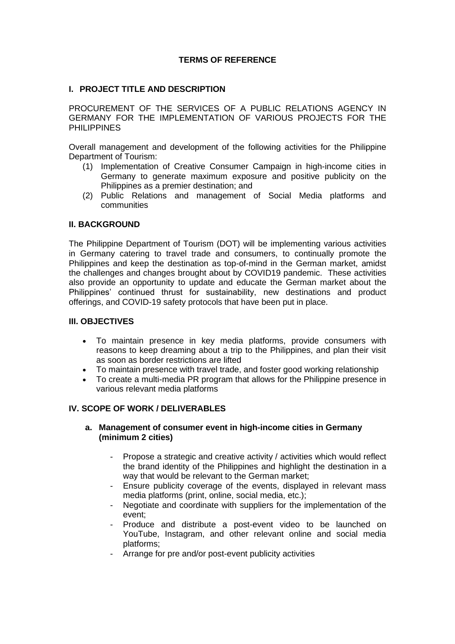## **TERMS OF REFERENCE**

### **I. PROJECT TITLE AND DESCRIPTION**

PROCUREMENT OF THE SERVICES OF A PUBLIC RELATIONS AGENCY IN GERMANY FOR THE IMPLEMENTATION OF VARIOUS PROJECTS FOR THE **PHILIPPINES** 

Overall management and development of the following activities for the Philippine Department of Tourism:

- (1) Implementation of Creative Consumer Campaign in high-income cities in Germany to generate maximum exposure and positive publicity on the Philippines as a premier destination; and
- (2) Public Relations and management of Social Media platforms and communities

#### **II. BACKGROUND**

The Philippine Department of Tourism (DOT) will be implementing various activities in Germany catering to travel trade and consumers, to continually promote the Philippines and keep the destination as top-of-mind in the German market, amidst the challenges and changes brought about by COVID19 pandemic. These activities also provide an opportunity to update and educate the German market about the Philippines' continued thrust for sustainability, new destinations and product offerings, and COVID-19 safety protocols that have been put in place.

#### **III. OBJECTIVES**

- To maintain presence in key media platforms, provide consumers with reasons to keep dreaming about a trip to the Philippines, and plan their visit as soon as border restrictions are lifted
- To maintain presence with travel trade, and foster good working relationship
- To create a multi-media PR program that allows for the Philippine presence in various relevant media platforms

#### **IV. SCOPE OF WORK / DELIVERABLES**

### **a. Management of consumer event in high-income cities in Germany (minimum 2 cities)**

- Propose a strategic and creative activity / activities which would reflect the brand identity of the Philippines and highlight the destination in a way that would be relevant to the German market;
- Ensure publicity coverage of the events, displayed in relevant mass media platforms (print, online, social media, etc.);
- Negotiate and coordinate with suppliers for the implementation of the event;
- Produce and distribute a post-event video to be launched on YouTube, Instagram, and other relevant online and social media platforms;
- Arrange for pre and/or post-event publicity activities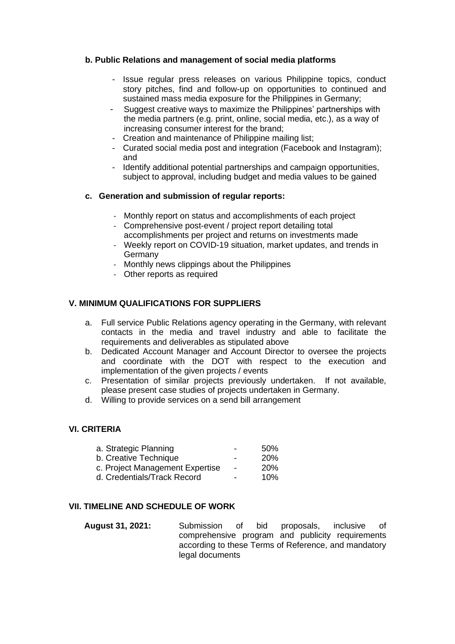## **b. Public Relations and management of social media platforms**

- Issue regular press releases on various Philippine topics, conduct story pitches, find and follow-up on opportunities to continued and sustained mass media exposure for the Philippines in Germany;
- Suggest creative ways to maximize the Philippines' partnerships with the media partners (e.g. print, online, social media, etc.), as a way of increasing consumer interest for the brand;
- Creation and maintenance of Philippine mailing list;
- Curated social media post and integration (Facebook and Instagram); and
- Identify additional potential partnerships and campaign opportunities, subject to approval, including budget and media values to be gained

### **c. Generation and submission of regular reports:**

- Monthly report on status and accomplishments of each project
- Comprehensive post-event / project report detailing total accomplishments per project and returns on investments made
- Weekly report on COVID-19 situation, market updates, and trends in Germany
- Monthly news clippings about the Philippines
- Other reports as required

### **V. MINIMUM QUALIFICATIONS FOR SUPPLIERS**

- a. Full service Public Relations agency operating in the Germany, with relevant contacts in the media and travel industry and able to facilitate the requirements and deliverables as stipulated above
- b. Dedicated Account Manager and Account Director to oversee the projects and coordinate with the DOT with respect to the execution and implementation of the given projects / events
- c. Presentation of similar projects previously undertaken. If not available, please present case studies of projects undertaken in Germany.
- d. Willing to provide services on a send bill arrangement

## **VI. CRITERIA**

| a. Strategic Planning           | 50%        |
|---------------------------------|------------|
| b. Creative Technique           | <b>20%</b> |
| c. Project Management Expertise | <b>20%</b> |
| d. Credentials/Track Record     | 10%        |
|                                 |            |

### **VII. TIMELINE AND SCHEDULE OF WORK**

**August 31, 2021:** Submission of bid proposals, inclusive of comprehensive program and publicity requirements according to these Terms of Reference, and mandatory legal documents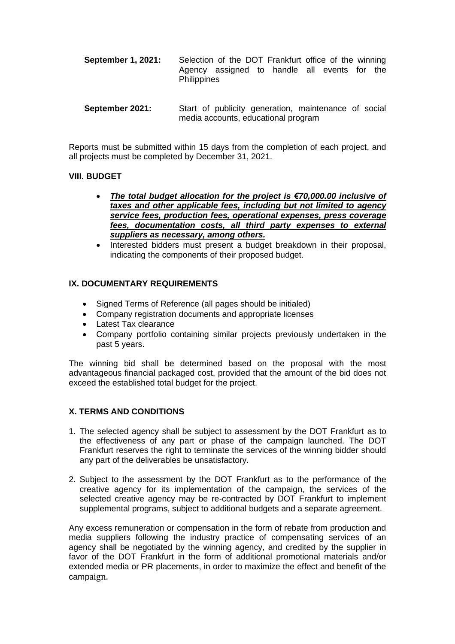- **September 1, 2021:** Selection of the DOT Frankfurt office of the winning Agency assigned to handle all events for the **Philippines**
- **September 2021:** Start of publicity generation, maintenance of social media accounts, educational program

Reports must be submitted within 15 days from the completion of each project, and all projects must be completed by December 31, 2021.

### **VIII. BUDGET**

- *The total budget allocation for the project is €70,000.00 inclusive of taxes and other applicable fees, including but not limited to agency service fees, production fees, operational expenses, press coverage fees, documentation costs, all third party expenses to external suppliers as necessary, among others.*
- Interested bidders must present a budget breakdown in their proposal, indicating the components of their proposed budget.

## **IX. DOCUMENTARY REQUIREMENTS**

- Signed Terms of Reference (all pages should be initialed)
- Company registration documents and appropriate licenses
- Latest Tax clearance
- Company portfolio containing similar projects previously undertaken in the past 5 years.

The winning bid shall be determined based on the proposal with the most advantageous financial packaged cost, provided that the amount of the bid does not exceed the established total budget for the project.

## **X. TERMS AND CONDITIONS**

- 1. The selected agency shall be subject to assessment by the DOT Frankfurt as to the effectiveness of any part or phase of the campaign launched. The DOT Frankfurt reserves the right to terminate the services of the winning bidder should any part of the deliverables be unsatisfactory.
- 2. Subject to the assessment by the DOT Frankfurt as to the performance of the creative agency for its implementation of the campaign, the services of the selected creative agency may be re-contracted by DOT Frankfurt to implement supplemental programs, subject to additional budgets and a separate agreement.

Any excess remuneration or compensation in the form of rebate from production and media suppliers following the industry practice of compensating services of an agency shall be negotiated by the winning agency, and credited by the supplier in favor of the DOT Frankfurt in the form of additional promotional materials and/or extended media or PR placements, in order to maximize the effect and benefit of the campaign.